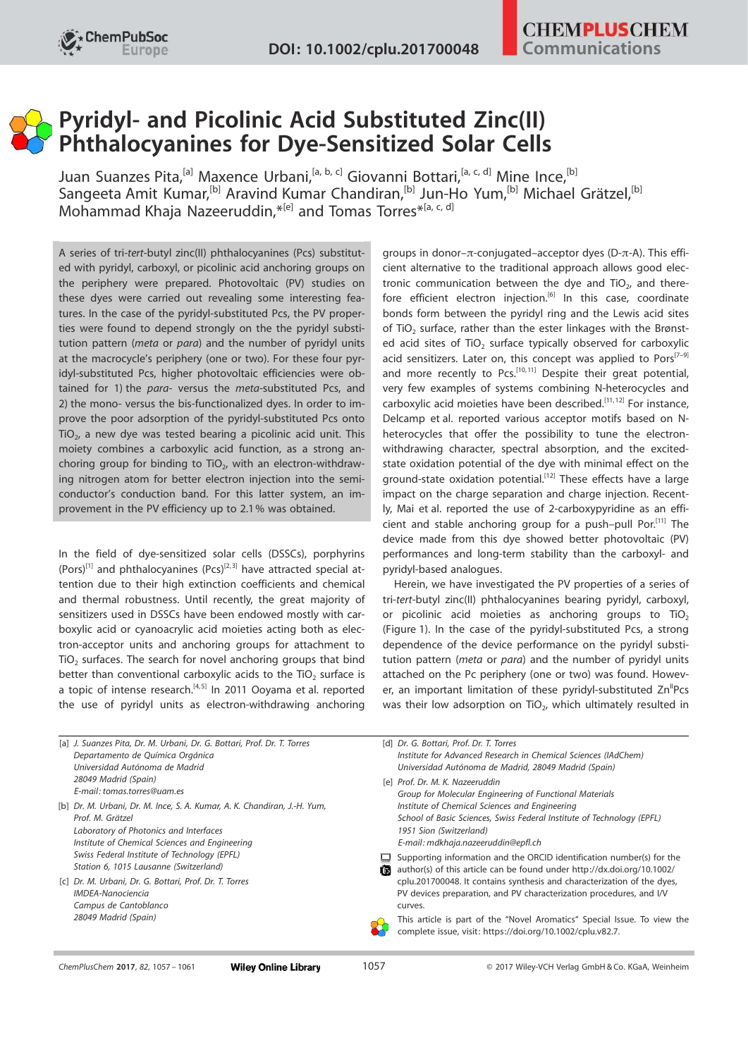## Pyridyl- and Picolinic Acid Substituted Zinc(II) Phthalocyanines for Dye-Sensitized Solar Cells

Juan Suanzes Pita,<sup>[a]</sup> Maxence Urbani,<sup>[a, b, c]</sup> Giovanni Bottari,<sup>[a, c, d]</sup> Mine Ince,<sup>[b]</sup> Sangeeta Amit Kumar,<sup>[b]</sup> Aravind Kumar Chandiran,<sup>[b]</sup> Jun-Ho Yum,<sup>[b]</sup> Michael Grätzel,<sup>[b]</sup> Mohammad Khaja Nazeeruddin,<sup>\*[e]</sup> and Tomas Torres<sup>\*[a, c, d]</sup>

A series of tri-tert-butyl zinc(II) phthalocyanines (Pcs) substituted with pyridyl, carboxyl, or picolinic acid anchoring groups on the periphery were prepared. Photovoltaic (PV) studies on these dyes were carried out revealing some interesting features. In the case of the pyridyl-substituted Pcs, the PV properties were found to depend strongly on the the pyridyl substitution pattern (meta or para) and the number of pyridyl units at the macrocycle's periphery (one or two). For these four pyridyl-substituted Pcs, higher photovoltaic efficiencies were obtained for 1) the para- versus the meta-substituted Pcs, and 2) the mono- versus the bis-functionalized dyes. In order to improve the poor adsorption of the pyridyl-substituted Pcs onto  $\overline{\text{TiO}}_2$ , a new dye was tested bearing a picolinic acid unit. This moiety combines a carboxylic acid function, as a strong anchoring group for binding to TiO<sub>2</sub>, with an electron-withdrawing nitrogen atom for better electron injection into the semiconductor's conduction band. For this latter system, an improvement in the PV efficiency up to 2.1% was obtained.

In the field of dye-sensitized solar cells (DSSCs), porphyrins  $(Poss)^{[1]}$  and phthalocyanines  $(Pcs)^{[2,3]}$  have attracted special attention due to their high extinction coefficients and chemical and thermal robustness. Until recently, the great majority of sensitizers used in DSSCs have been endowed mostly with carboxylic acid or cyanoacrylic acid moieties acting both as electron-acceptor units and anchoring groups for attachment to  $TiO<sub>2</sub>$  surfaces. The search for novel anchoring groups that bind better than conventional carboxylic acids to the TiO<sub>2</sub> surface is a topic of intense research. $[4, 5]$  In 2011 Ooyama et al. reported the use of pyridyl units as electron-withdrawing anchoring groups in donor- $\pi$ -conjugated-acceptor dyes (D- $\pi$ -A). This efficient alternative to the traditional approach allows good electronic communication between the dye and  $TiO<sub>2</sub>$ , and therefore efficient electron injection.<sup>[6]</sup> In this case, coordinate bonds form between the pyridyl ring and the Lewis acid sites of TiO<sub>2</sub> surface, rather than the ester linkages with the Brønsted acid sites of  $TiO<sub>2</sub>$  surface typically observed for carboxylic acid sensitizers. Later on, this concept was applied to  $Pors^{[7-9]}$ and more recently to  $Pcs.$ <sup>[10,11]</sup> Despite their great potential, very few examples of systems combining N-heterocycles and carboxylic acid moieties have been described.<sup>[11,12]</sup> For instance, Delcamp et al. reported various acceptor motifs based on Nheterocycles that offer the possibility to tune the electronwithdrawing character, spectral absorption, and the excitedstate oxidation potential of the dye with minimal effect on the ground-state oxidation potential.<sup>[12]</sup> These effects have a large impact on the charge separation and charge injection. Recently, Mai et al. reported the use of 2-carboxypyridine as an efficient and stable anchoring group for a push–pull Por.<sup>[11]</sup> The device made from this dye showed better photovoltaic (PV) performances and long-term stability than the carboxyl- and pyridyl-based analogues.

Herein, we have investigated the PV properties of a series of tri-tert-butyl zinc(II) phthalocyanines bearing pyridyl, carboxyl, or picolinic acid moieties as anchoring groups to  $TiO<sub>2</sub>$ (Figure 1). In the case of the pyridyl-substituted Pcs, a strong dependence of the device performance on the pyridyl substitution pattern (meta or para) and the number of pyridyl units attached on the Pc periphery (one or two) was found. However, an important limitation of these pyridyl-substituted  $Zn^{II}Pcs$ was their low adsorption on TiO<sub>2</sub>, which ultimately resulted in

| [a] J. Suanzes Pita, Dr. M. Urbani, Dr. G. Bottari, Prof. Dr. T. Torres                | [d] Dr. G. Bottari, Prof. Dr. T. Torres                                                                                                                |
|----------------------------------------------------------------------------------------|--------------------------------------------------------------------------------------------------------------------------------------------------------|
| Departamento de Química Orgánica                                                       | Institute for Advanced Research in Chemical Sciences (IAdChem)                                                                                         |
| Universidad Autónoma de Madrid                                                         | Universidad Autónoma de Madrid, 28049 Madrid (Spain)                                                                                                   |
| 28049 Madrid (Spain)                                                                   | [e] Prof. Dr. M. K. Nazeeruddin                                                                                                                        |
| E-mail: tomas.torres@uam.es                                                            | Group for Molecular Engineering of Functional Materials                                                                                                |
| [b] Dr. M. Urbani, Dr. M. Ince, S. A. Kumar, A. K. Chandiran, J.-H. Yum,               | Institute of Chemical Sciences and Engineering                                                                                                         |
| Prof. M. Grätzel                                                                       | School of Basic Sciences, Swiss Federal Institute of Technology (EPFL)                                                                                 |
| Laboratory of Photonics and Interfaces                                                 | 1951 Sion (Switzerland)                                                                                                                                |
| Institute of Chemical Sciences and Engineering                                         | E-mail: mdkhaja.nazeeruddin@epfl.ch                                                                                                                    |
| Swiss Federal Institute of Technology (EPFL)<br>Station 6, 1015 Lausanne (Switzerland) | Supporting information and the ORCID identification number(s) for the<br>author(s) of this article can be found under http://dx.doi.org/10.1002/<br>16 |
| [c] Dr. M. Urbani, Dr. G. Bottari, Prof. Dr. T. Torres                                 | cplu.201700048. It contains synthesis and characterization of the dyes,                                                                                |
| <b>IMDEA-Nanociencia</b>                                                               | PV devices preparation, and PV characterization procedures, and I/V                                                                                    |
| Campus de Cantoblanco                                                                  | curves.                                                                                                                                                |
| 28049 Madrid (Spain)                                                                   | This article is part of the "Novel Aromatics" Special Issue. To view the<br>complete issue, visit: https://doi.org/10.1002/cplu.v82.7.                 |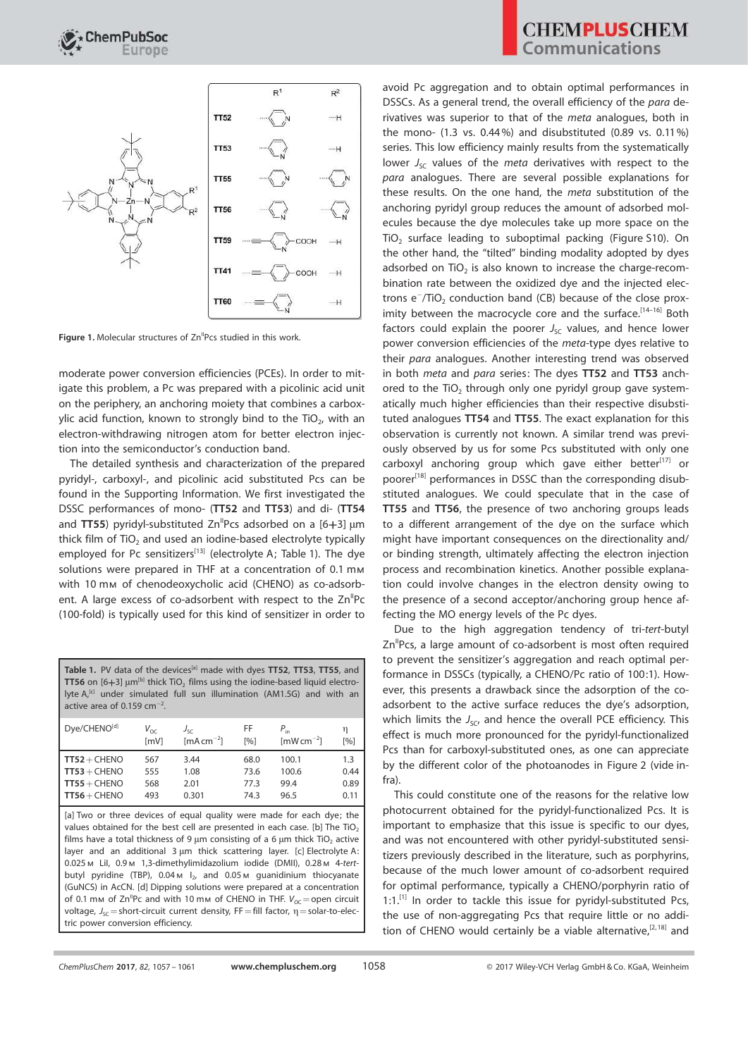

Figure 1. Molecular structures of Zn<sup>"</sup>Pcs studied in this work

moderate power conversion efficiencies (PCEs). In order to mitigate this problem, a Pc was prepared with a picolinic acid unit on the periphery, an anchoring moiety that combines a carboxylic acid function, known to strongly bind to the TiO $_{\rm 2}$ , with an electron-withdrawing nitrogen atom for better electron injection into the semiconductor's conduction band.

The detailed synthesis and characterization of the prepared pyridyl-, carboxyl-, and picolinic acid substituted Pcs can be found in the Supporting Information. We first investigated the DSSC performances of mono- (TT52 and TT53) and di- (TT54 and TT55) pyridyl-substituted  $\text{Zn}^{\text{II}}$ Pcs adsorbed on a [6+3]  $\mu$ m thick film of  $TiO<sub>2</sub>$  and used an iodine-based electrolyte typically employed for Pc sensitizers<sup>[13]</sup> (electrolyte A; Table 1). The dye solutions were prepared in THF at a concentration of 0.1 mm with 10 mm of chenodeoxycholic acid (CHENO) as co-adsorbent. A large excess of co-adsorbent with respect to the  $Zn<sup>II</sup>Pc$ (100-fold) is typically used for this kind of sensitizer in order to

Table 1. PV data of the devices<sup>[a]</sup> made with dyes TT52, TT53, TT55, and <code>TT56</code> on [6 $+$ 3]  $\upmu$ m $^{\text{(b)}}$  thick TiO $_2$  films using the iodine-based liquid electrolyte A,<sup>[c]</sup> under simulated full sun illumination (AM1.5G) and with an active area of 0.159  $cm^{-2}$ .

| Dye/CHENO <sup>[d]</sup> | $V_{\alpha c}$ | $J_{SC}$                         | FF   | $P_{\rm in}$                | η    |
|--------------------------|----------------|----------------------------------|------|-----------------------------|------|
|                          | [mV]           | $\left[\text{mA cm}^{-2}\right]$ | [%]  | $\text{mW}\,\text{cm}^{-2}$ | [%]  |
| $TT52 + CHENO$           | 567            | 3.44                             | 68.0 | 100.1                       | 1.3  |
| $TT53 + CHENO$           | 555            | 1.08                             | 73.6 | 100.6                       | 0.44 |
| $TT55 + CHENO$           | 568            | 2.01                             | 77.3 | 99.4                        | 0.89 |
| $TT56 + CHENO$           | 493            | 0.301                            | 74.3 | 96.5                        | 0.11 |

[a] Two or three devices of equal quality were made for each dye; the values obtained for the best cell are presented in each case. [b] The  $TiO<sub>2</sub>$ films have a total thickness of 9  $\mu$ m consisting of a 6  $\mu$ m thick TiO<sub>2</sub> active layer and an additional  $3 \mu m$  thick scattering layer. [c] Electrolyte A: 0.025m LiI, 0.9m 1,3-dimethylimidazolium iodide (DMII), 0.28m 4-tertbutyl pyridine (TBP),  $0.04 \text{ m}$  l<sub>2</sub>, and  $0.05 \text{ m}$  guanidinium thiocyanate (GuNCS) in AcCN. [d] Dipping solutions were prepared at a concentration of 0.1 mm of  $Zn^{II}Pc$  and with 10 mm of CHENO in THF.  $V_{OC} =$  open circuit voltage,  $J_{SC}$  = short-circuit current density, FF = fill factor,  $\eta$  = solar-to-electric power conversion efficiency.

avoid Pc aggregation and to obtain optimal performances in DSSCs. As a general trend, the overall efficiency of the para derivatives was superior to that of the meta analogues, both in the mono- (1.3 vs. 0.44 %) and disubstituted (0.89 vs. 0.11%) series. This low efficiency mainly results from the systematically lower  $J_{SC}$  values of the meta derivatives with respect to the para analogues. There are several possible explanations for these results. On the one hand, the meta substitution of the anchoring pyridyl group reduces the amount of adsorbed molecules because the dye molecules take up more space on the  $TiO<sub>2</sub>$  surface leading to suboptimal packing (Figure S10). On the other hand, the "tilted" binding modality adopted by dyes adsorbed on  $TiO<sub>2</sub>$  is also known to increase the charge-recombination rate between the oxidized dye and the injected electrons  $e^-/TiO_2$  conduction band (CB) because of the close proximity between the macrocycle core and the surface.<sup>[14-16]</sup> Both factors could explain the poorer  $J_{SC}$  values, and hence lower power conversion efficiencies of the meta-type dyes relative to their para analogues. Another interesting trend was observed in both *meta* and *para* series: The dyes TT52 and TT53 anchored to the  $TiO<sub>2</sub>$  through only one pyridyl group gave systematically much higher efficiencies than their respective disubstituted analogues TT54 and TT55. The exact explanation for this observation is currently not known. A similar trend was previously observed by us for some Pcs substituted with only one carboxyl anchoring group which gave either better $[17]$  or poorer<sup>[18]</sup> performances in DSSC than the corresponding disubstituted analogues. We could speculate that in the case of TT55 and TT56, the presence of two anchoring groups leads to a different arrangement of the dye on the surface which might have important consequences on the directionality and/ or binding strength, ultimately affecting the electron injection process and recombination kinetics. Another possible explanation could involve changes in the electron density owing to the presence of a second acceptor/anchoring group hence affecting the MO energy levels of the Pc dyes.

Due to the high aggregation tendency of tri-tert-butyl Zn<sup>"</sup>Pcs, a large amount of co-adsorbent is most often required to prevent the sensitizer's aggregation and reach optimal performance in DSSCs (typically, a CHENO/Pc ratio of 100:1). However, this presents a drawback since the adsorption of the coadsorbent to the active surface reduces the dye's adsorption, which limits the  $J_{SC}$ , and hence the overall PCE efficiency. This effect is much more pronounced for the pyridyl-functionalized Pcs than for carboxyl-substituted ones, as one can appreciate by the different color of the photoanodes in Figure 2 (vide infra).

This could constitute one of the reasons for the relative low photocurrent obtained for the pyridyl-functionalized Pcs. It is important to emphasize that this issue is specific to our dyes, and was not encountered with other pyridyl-substituted sensitizers previously described in the literature, such as porphyrins, because of the much lower amount of co-adsorbent required for optimal performance, typically a CHENO/porphyrin ratio of  $1:1$ .<sup>[1]</sup> In order to tackle this issue for pyridyl-substituted Pcs, the use of non-aggregating Pcs that require little or no addition of CHENO would certainly be a viable alternative,<sup>[2,18]</sup> and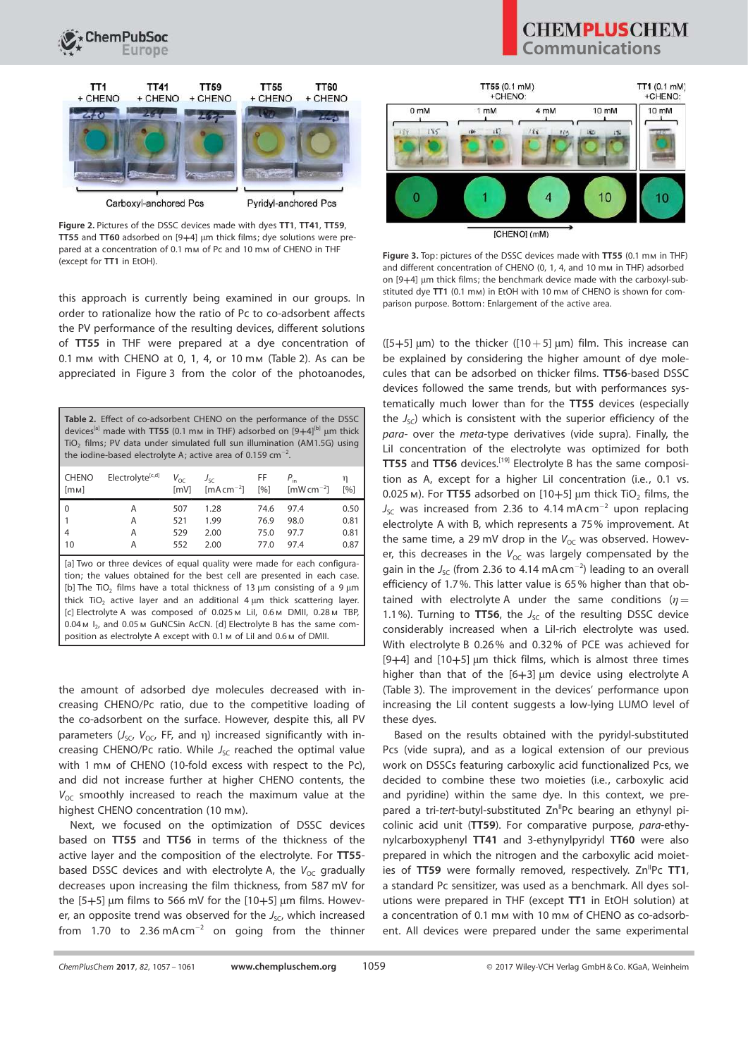



Carboxyl-anchored Pcs

Figure 2. Pictures of the DSSC devices made with dyes TT1, TT41, TT59, TT55 and TT60 adsorbed on  $[9+4]$  µm thick films; dye solutions were prepared at a concentration of 0.1 mm of Pc and 10 mm of CHENO in THF (except for TT1 in EtOH).

this approach is currently being examined in our groups. In order to rationalize how the ratio of Pc to co-adsorbent affects the PV performance of the resulting devices, different solutions of TT55 in THF were prepared at a dye concentration of 0.1 mm with CHENO at 0, 1, 4, or 10 mm (Table 2). As can be appreciated in Figure 3 from the color of the photoanodes,

| <b>Table 2.</b> Effect of co-adsorbent CHENO on the performance of the DSSC<br>devices <sup>[a]</sup> made with TT55 (0.1 mm in THF) adsorbed on $[9+4]^{[b]}$ µm thick<br>TiO <sub>2</sub> films; PV data under simulated full sun illumination (AM1.5G) using<br>the iodine-based electrolyte A; active area of 0.159 cm <sup>-2</sup> .                                                                                                                                                                                                                                      |                              |                         |                                                      |            |                                              |          |
|---------------------------------------------------------------------------------------------------------------------------------------------------------------------------------------------------------------------------------------------------------------------------------------------------------------------------------------------------------------------------------------------------------------------------------------------------------------------------------------------------------------------------------------------------------------------------------|------------------------------|-------------------------|------------------------------------------------------|------------|----------------------------------------------|----------|
| <b>CHENO</b><br>[mM]                                                                                                                                                                                                                                                                                                                                                                                                                                                                                                                                                            | Electrolyte <sup>[c,d]</sup> | $V_{\text{OC}}$<br>[mV] | $J_{\leq r}$<br>$\lceil mA \, \text{cm}^{-2} \rceil$ | FF.<br>[%] | $P_{\rm in}$<br>$\text{ImW}\,\text{cm}^{-2}$ | η<br>[%] |
| $\mathbf{0}$                                                                                                                                                                                                                                                                                                                                                                                                                                                                                                                                                                    | A                            | 507                     | 1.28                                                 | 74.6       | 97.4                                         | 0.50     |
| 1                                                                                                                                                                                                                                                                                                                                                                                                                                                                                                                                                                               | А                            | 521                     | 1.99                                                 | 76.9       | 98.0                                         | 0.81     |
| 4                                                                                                                                                                                                                                                                                                                                                                                                                                                                                                                                                                               | А                            | 529                     | 2.00                                                 | 75.0       | 97.7                                         | 0.81     |
| 10                                                                                                                                                                                                                                                                                                                                                                                                                                                                                                                                                                              | А                            | 552                     | 2.00                                                 | 77.0       | 97.4                                         | 0.87     |
| [a] Two or three devices of equal quality were made for each configura-<br>tion; the values obtained for the best cell are presented in each case.<br>[b] The TiO <sub>2</sub> films have a total thickness of 13 $\mu$ m consisting of a 9 $\mu$ m<br>thick $TiO2$ active layer and an additional 4 $\mu$ m thick scattering layer.<br>[c] Electrolyte A was composed of 0.025 M Lil, 0.6 M DMII, 0.28 M TBP,<br>0.04 м I <sub>2</sub> , and 0.05 м GuNCSin AcCN. [d] Electrolyte B has the same com-<br>position as electrolyte A except with 0.1 м of Lil and 0.6 м of DMII. |                              |                         |                                                      |            |                                              |          |

the amount of adsorbed dye molecules decreased with increasing CHENO/Pc ratio, due to the competitive loading of the co-adsorbent on the surface. However, despite this, all PV parameters  $(J_{SC}, V_{OC}, FF,$  and  $\eta$ ) increased significantly with increasing CHENO/Pc ratio. While  $J_{SC}$  reached the optimal value with 1 mm of CHENO (10-fold excess with respect to the Pc), and did not increase further at higher CHENO contents, the  $V_{OC}$  smoothly increased to reach the maximum value at the highest CHENO concentration (10 mm).

Next, we focused on the optimization of DSSC devices based on TT55 and TT56 in terms of the thickness of the active layer and the composition of the electrolyte. For TT55 based DSSC devices and with electrolyte A, the  $V_{OC}$  gradually decreases upon increasing the film thickness, from 587 mV for the  $[5+5]$  µm films to 566 mV for the  $[10+5]$  µm films. However, an opposite trend was observed for the  $J_{SC}$ , which increased from 1.70 to 2.36 mA cm<sup>-2</sup> on going from the thinner

## **CHEMPLUSCHEM** Communications



Figure 3. Top: pictures of the DSSC devices made with TT55 (0.1 mm in THF) and different concentration of CHENO (0, 1, 4, and 10 mm in THF) adsorbed on [9+4] µm thick films; the benchmark device made with the carboxyl-substituted dye TT1 (0.1 mm) in EtOH with 10 mm of CHENO is shown for comparison purpose. Bottom: Enlargement of the active area.

( $[5+5]$  µm) to the thicker ( $[10+5]$  µm) film. This increase can be explained by considering the higher amount of dye molecules that can be adsorbed on thicker films. TT56-based DSSC devices followed the same trends, but with performances systematically much lower than for the TT55 devices (especially the  $J_{SC}$ ) which is consistent with the superior efficiency of the para- over the meta-type derivatives (vide supra). Finally, the LiI concentration of the electrolyte was optimized for both TT55 and TT56 devices.[19] Electrolyte B has the same composition as A, except for a higher LiI concentration (i.e., 0.1 vs.  $0.025$  m). For TT55 adsorbed on  $[10+5]$  µm thick TiO<sub>2</sub> films, the  $J_{\rm SC}$  was increased from 2.36 to 4.14 mA cm<sup>-2</sup> upon replacing electrolyte A with B, which represents a 75% improvement. At the same time, a 29 mV drop in the  $V_{OC}$  was observed. However, this decreases in the  $V_{OC}$  was largely compensated by the gain in the  $J_{\rm SC}$  (from 2.36 to 4.14 mA cm<sup>-2</sup>) leading to an overall efficiency of 1.7%. This latter value is 65% higher than that obtained with electrolyte A under the same conditions ( $\eta=$ 1.1%). Turning to TT56, the  $J_{SC}$  of the resulting DSSC device considerably increased when a LiI-rich electrolyte was used. With electrolyte B 0.26% and 0.32% of PCE was achieved for [9+4] and  $[10+5]$  µm thick films, which is almost three times higher than that of the  $[6+3]$  µm device using electrolyte A (Table 3). The improvement in the devices' performance upon increasing the LiI content suggests a low-lying LUMO level of these dyes.

Based on the results obtained with the pyridyl-substituted Pcs (vide supra), and as a logical extension of our previous work on DSSCs featuring carboxylic acid functionalized Pcs, we decided to combine these two moieties (i.e., carboxylic acid and pyridine) within the same dye. In this context, we prepared a tri-tert-butyl-substituted Zn<sup>II</sup>Pc bearing an ethynyl picolinic acid unit (TT59). For comparative purpose, para-ethynylcarboxyphenyl TT41 and 3-ethynylpyridyl TT60 were also prepared in which the nitrogen and the carboxylic acid moieties of TT59 were formally removed, respectively.  $Zn^{II}Pc$  TT1, a standard Pc sensitizer, was used as a benchmark. All dyes solutions were prepared in THF (except TT1 in EtOH solution) at a concentration of 0.1 mm with 10 mm of CHENO as co-adsorbent. All devices were prepared under the same experimental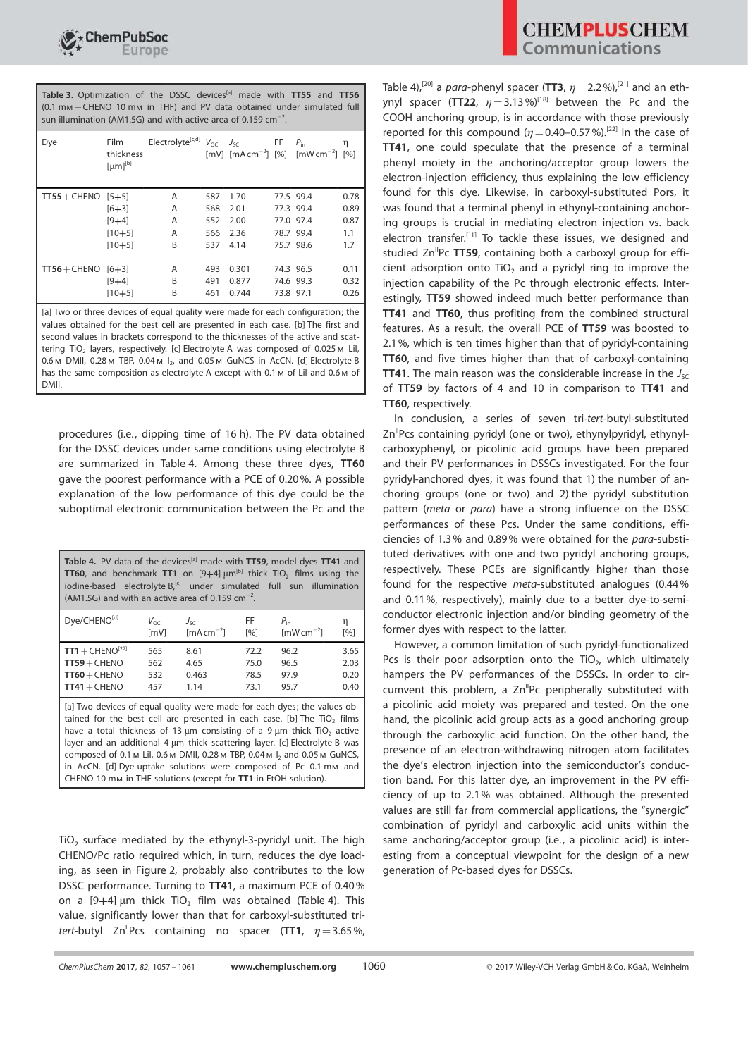

Table 3. Optimization of the DSSC devices<sup>[a]</sup> made with TT55 and TT56 (0.1 mm+CHENO 10 mm in THF) and PV data obtained under simulated full sun illumination (AM1.5G) and with active area of 0.159  $cm^{-2}$ .

| Dye                                                            | Film<br>thickness<br>$[µm]^{[b]}$ | Electrolyte <sup>[c,d]</sup> |     | $V_{OC}$ $J_{SC}$ | FF        | $P_{\text{in}}$<br>[mV] $[mA cm^{-2}]$ [%] $[mW cm^{-2}]$ [%] | η    |
|----------------------------------------------------------------|-----------------------------------|------------------------------|-----|-------------------|-----------|---------------------------------------------------------------|------|
| $TT55 + CHENO$ [5+5]                                           |                                   | Α                            | 587 | 1.70              |           | 77.5 99.4                                                     | 0.78 |
|                                                                | $[6 + 3]$                         | A                            | 568 | 2.01              |           | 77.3 99.4                                                     | 0.89 |
|                                                                | $[9+4]$                           | A                            | 552 | 2.00              |           | 77.0 97.4                                                     | 0.87 |
|                                                                | $[10+5]$                          | A                            | 566 | 2.36              |           | 78.7 99.4                                                     | 1.1  |
|                                                                | $[10+5]$                          | B                            | 537 | 4.14              |           | 75.7 98.6                                                     | 1.7  |
|                                                                |                                   |                              |     |                   |           |                                                               |      |
| $\textsf{T} \textsf{T} \textsf{5} \textsf{6} + \textsf{CHENO}$ | $[6+3]$                           | Α                            | 493 | 0.301             |           | 74.3 96.5                                                     | 0.11 |
|                                                                | $[9 + 4]$                         | B                            | 491 | 0.877             |           | 74.6 99.3                                                     | 0.32 |
|                                                                | $[10+5]$                          | B                            | 461 | 0.744             | 73.8 97.1 |                                                               | 0.26 |

[a] Two or three devices of equal quality were made for each configuration; the values obtained for the best cell are presented in each case. [b] The first and second values in brackets correspond to the thicknesses of the active and scattering TiO<sub>2</sub> layers, respectively. [c] Electrolyte A was composed of 0.025  $M$  Lil, 0.6 M DMII, 0.28 M TBP, 0.04 M I<sub>2</sub>, and 0.05 M GuNCS in AcCN. [d] Electrolyte B has the same composition as electrolyte A except with 0.1 m of LiI and 0.6 m of DMII.

procedures (i.e., dipping time of 16 h). The PV data obtained for the DSSC devices under same conditions using electrolyte B are summarized in Table 4. Among these three dyes, TT60 gave the poorest performance with a PCE of 0.20%. A possible explanation of the low performance of this dye could be the suboptimal electronic communication between the Pc and the

| Table 4. PV data of the devices <sup>[a]</sup> made with TT59, model dyes TT41 and<br><b>TT60</b> , and benchmark <b>TT1</b> on $[9+4]$ $\mu m^{[b]}$ thick TiO <sub>2</sub> films using the<br>iodine-based electrolyte B, <sup>[c]</sup> under simulated full sun<br>illumination<br>(AM1.5G) and with an active area of 0.159 cm <sup>-2</sup> . |                        |                                                  |                           |                                         |              |  |
|-----------------------------------------------------------------------------------------------------------------------------------------------------------------------------------------------------------------------------------------------------------------------------------------------------------------------------------------------------|------------------------|--------------------------------------------------|---------------------------|-----------------------------------------|--------------|--|
| Dye/CHENO[d]                                                                                                                                                                                                                                                                                                                                        | $V_{\Omega C}$<br>[mV] | $J_{\leq r}$<br>$\left[\text{mA cm}^{-2}\right]$ | FF.<br>$\lceil 96 \rceil$ | $P_{in}$<br>$\text{mW}\,\text{cm}^{-2}$ | η<br>[%]     |  |
| $TT1 + CHENO^{[22]}$                                                                                                                                                                                                                                                                                                                                | 565                    | 8.61                                             | 72.2                      | 96.2                                    | 3.65         |  |
| $TT59 + CHENO$<br>$TT60 + CHENO$                                                                                                                                                                                                                                                                                                                    | 562<br>532             | 4.65<br>0.463                                    | 75.0<br>78.5              | 96.5<br>97.9                            | 2.03<br>0.20 |  |
| $TT41 + CHENO$                                                                                                                                                                                                                                                                                                                                      | 457                    | 1.14                                             | 73.1                      | 95.7                                    | 0.40         |  |
| [a] Two devices of equal quality were made for each dyes; the values ob-<br>tained for the hest cell are presented in each case [b] The TiO films                                                                                                                                                                                                   |                        |                                                  |                           |                                         |              |  |

tained for the best cell are presented in each case. [b] The TiO<sub>2</sub> films have a total thickness of 13  $\mu$ m consisting of a 9  $\mu$ m thick TiO<sub>2</sub> active layer and an additional 4  $\mu$ m thick scattering layer. [c] Electrolyte B was composed of 0.1 m Lil, 0.6 m DMII, 0.28 m TBP, 0.04 m  $I_2$  and 0.05 m GuNCS, in AcCN. [d] Dye-uptake solutions were composed of Pc 0.1 mm and CHENO 10 mm in THF solutions (except for TT1 in EtOH solution).

 $TiO<sub>2</sub>$  surface mediated by the ethynyl-3-pyridyl unit. The high CHENO/Pc ratio required which, in turn, reduces the dye loading, as seen in Figure 2, probably also contributes to the low DSSC performance. Turning to TT41, a maximum PCE of 0.40% on a  $[9+4]$  µm thick TiO<sub>2</sub> film was obtained (Table 4). This value, significantly lower than that for carboxyl-substituted tritert-butyl Zn<sup>II</sup>Pcs containing no spacer (TT1,  $\eta=3.65\%$ , Table 4),<sup>[20]</sup> a *para*-phenyl spacer (TT3,  $\eta$  = 2.2%),<sup>[21]</sup> and an ethynyl spacer (TT22,  $\eta = 3.13\%$ <sup>[18]</sup> between the Pc and the COOH anchoring group, is in accordance with those previously reported for this compound ( $\eta$  = 0.40–0.57%).<sup>[22]</sup> In the case of TT41, one could speculate that the presence of a terminal phenyl moiety in the anchoring/acceptor group lowers the electron-injection efficiency, thus explaining the low efficiency found for this dye. Likewise, in carboxyl-substituted Pors, it was found that a terminal phenyl in ethynyl-containing anchoring groups is crucial in mediating electron injection vs. back electron transfer.<sup>[11]</sup> To tackle these issues, we designed and studied  $\text{Zn}^{\text{II}}$ Pc TT59, containing both a carboxyl group for efficient adsorption onto  $TiO<sub>2</sub>$  and a pyridyl ring to improve the injection capability of the Pc through electronic effects. Interestingly, TT59 showed indeed much better performance than TT41 and TT60, thus profiting from the combined structural features. As a result, the overall PCE of TT59 was boosted to 2.1%, which is ten times higher than that of pyridyl-containing TT60, and five times higher than that of carboxyl-containing **TT41.** The main reason was the considerable increase in the  $J_{SC}$ of TT59 by factors of 4 and 10 in comparison to TT41 and TT60, respectively.

In conclusion, a series of seven tri-tert-butyl-substituted Zn<sup>"</sup>Pcs containing pyridyl (one or two), ethynylpyridyl, ethynylcarboxyphenyl, or picolinic acid groups have been prepared and their PV performances in DSSCs investigated. For the four pyridyl-anchored dyes, it was found that 1) the number of anchoring groups (one or two) and 2) the pyridyl substitution pattern (meta or para) have a strong influence on the DSSC performances of these Pcs. Under the same conditions, efficiencies of 1.3% and 0.89% were obtained for the para-substituted derivatives with one and two pyridyl anchoring groups, respectively. These PCEs are significantly higher than those found for the respective meta-substituted analogues (0.44% and 0.11%, respectively), mainly due to a better dye-to-semiconductor electronic injection and/or binding geometry of the former dyes with respect to the latter.

However, a common limitation of such pyridyl-functionalized Pcs is their poor adsorption onto the  $TiO<sub>2</sub>$ , which ultimately hampers the PV performances of the DSSCs. In order to circumvent this problem, a  $Zn^{II}$ Pc peripherally substituted with a picolinic acid moiety was prepared and tested. On the one hand, the picolinic acid group acts as a good anchoring group through the carboxylic acid function. On the other hand, the presence of an electron-withdrawing nitrogen atom facilitates the dye's electron injection into the semiconductor's conduction band. For this latter dye, an improvement in the PV efficiency of up to 2.1% was obtained. Although the presented values are still far from commercial applications, the "synergic" combination of pyridyl and carboxylic acid units within the same anchoring/acceptor group (i.e., a picolinic acid) is interesting from a conceptual viewpoint for the design of a new generation of Pc-based dyes for DSSCs.